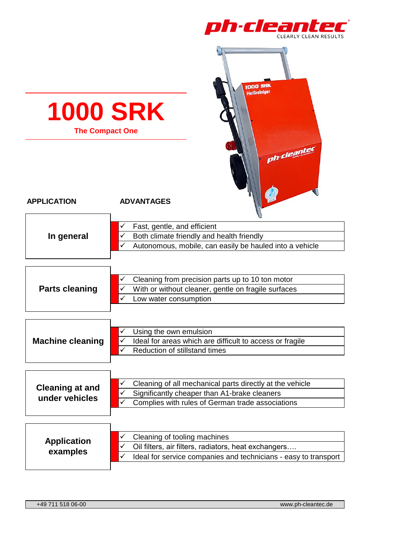



| nnn                    |  |  |  |  |
|------------------------|--|--|--|--|
| <b>The Compact One</b> |  |  |  |  |
|                        |  |  |  |  |

**APPLICATION ADVANTAGES**

|            | Fast, gentle, and efficient                             |
|------------|---------------------------------------------------------|
| In general | Both climate friendly and health friendly               |
|            | Autonomous, mobile, can easily be hauled into a vehicle |
|            |                                                         |

| Cleaning from precision parts up to 10 ton motor    |
|-----------------------------------------------------|
| With or without cleaner, gentle on fragile surfaces |
| Low water consumption                               |
|                                                     |

|                         | Using the own emulsion                                   |
|-------------------------|----------------------------------------------------------|
| <b>Machine cleaning</b> | Ideal for areas which are difficult to access or fragile |
|                         | Reduction of stillstand times                            |
|                         |                                                          |

| <b>Cleaning at and</b> | Cleaning of all mechanical parts directly at the vehicle |
|------------------------|----------------------------------------------------------|
|                        | Significantly cheaper than A1-brake cleaners             |
| under vehicles         | Complies with rules of German trade associations         |
|                        |                                                          |

| <b>Application</b> | Cleaning of tooling machines                                    |
|--------------------|-----------------------------------------------------------------|
| examples           | Oil filters, air filters, radiators, heat exchangers            |
|                    | Ideal for service companies and technicians - easy to transport |
|                    |                                                                 |